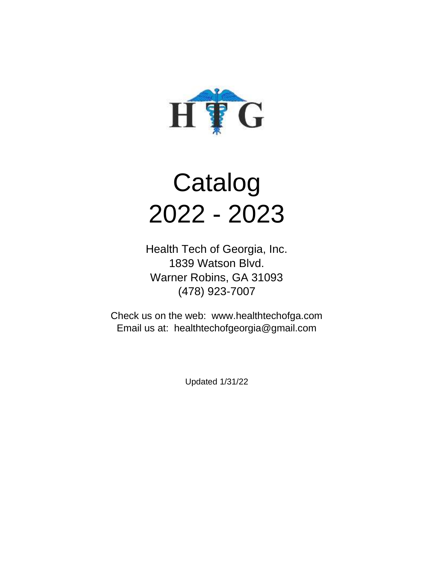

# Catalog 2022 - 2023

Health Tech of Georgia, Inc. 1839 Watson Blvd. Warner Robins, GA 31093 (478) 923-7007

Check us on the web: www.healthtechofga.com Email us at: healthtechofgeorgia@gmail.com

Updated 1/31/22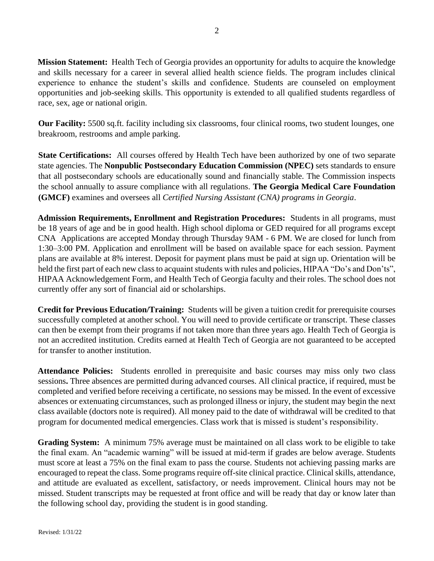**Mission Statement:** Health Tech of Georgia provides an opportunity for adults to acquire the knowledge and skills necessary for a career in several allied health science fields. The program includes clinical experience to enhance the student's skills and confidence. Students are counseled on employment opportunities and job-seeking skills. This opportunity is extended to all qualified students regardless of race, sex, age or national origin.

**Our Facility:** 5500 sq.ft. facility including six classrooms, four clinical rooms, two student lounges, one breakroom, restrooms and ample parking.

**State Certifications:** All courses offered by Health Tech have been authorized by one of two separate state agencies. The **Nonpublic Postsecondary Education Commission (NPEC)** sets standards to ensure that all postsecondary schools are educationally sound and financially stable. The Commission inspects the school annually to assure compliance with all regulations. **The Georgia Medical Care Foundation (GMCF)** examines and oversees all *Certified Nursing Assistant (CNA) programs in Georgia*.

**Admission Requirements, Enrollment and Registration Procedures:** Students in all programs, must be 18 years of age and be in good health. High school diploma or GED required for all programs except CNA Applications are accepted Monday through Thursday 9AM - 6 PM. We are closed for lunch from 1:30–3:00 PM. Application and enrollment will be based on available space for each session. Payment plans are available at 8% interest. Deposit for payment plans must be paid at sign up. Orientation will be held the first part of each new class to acquaint students with rules and policies, HIPAA "Do's and Don'ts", HIPAA Acknowledgement Form, and Health Tech of Georgia faculty and their roles. The school does not currently offer any sort of financial aid or scholarships.

**Credit for Previous Education/Training:** Students will be given a tuition credit for prerequisite courses successfully completed at another school. You will need to provide certificate or transcript. These classes can then be exempt from their programs if not taken more than three years ago. Health Tech of Georgia is not an accredited institution. Credits earned at Health Tech of Georgia are not guaranteed to be accepted for transfer to another institution.

**Attendance Policies:** Students enrolled in prerequisite and basic courses may miss only two class sessions**.** Three absences are permitted during advanced courses. All clinical practice, if required, must be completed and verified before receiving a certificate, no sessions may be missed. In the event of excessive absences or extenuating circumstances, such as prolonged illness or injury, the student may begin the next class available (doctors note is required). All money paid to the date of withdrawal will be credited to that program for documented medical emergencies. Class work that is missed is student's responsibility.

**Grading System:** A minimum 75% average must be maintained on all class work to be eligible to take the final exam. An "academic warning" will be issued at mid-term if grades are below average. Students must score at least a 75% on the final exam to pass the course. Students not achieving passing marks are encouraged to repeat the class. Some programs require off-site clinical practice. Clinical skills, attendance, and attitude are evaluated as excellent, satisfactory, or needs improvement. Clinical hours may not be missed. Student transcripts may be requested at front office and will be ready that day or know later than the following school day, providing the student is in good standing.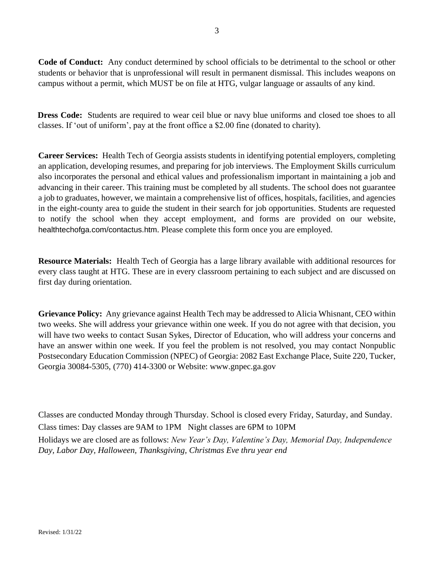**Code of Conduct:** Any conduct determined by school officials to be detrimental to the school or other students or behavior that is unprofessional will result in permanent dismissal. This includes weapons on campus without a permit, which MUST be on file at HTG, vulgar language or assaults of any kind.

**Dress Code:** Students are required to wear ceil blue or navy blue uniforms and closed toe shoes to all classes. If 'out of uniform', pay at the front office a \$2.00 fine (donated to charity).

**Career Services:** Health Tech of Georgia assists students in identifying potential employers, completing an application, developing resumes, and preparing for job interviews. The Employment Skills curriculum also incorporates the personal and ethical values and professionalism important in maintaining a job and advancing in their career. This training must be completed by all students. The school does not guarantee a job to graduates, however, we maintain a comprehensive list of offices, hospitals, facilities, and agencies in the eight-county area to guide the student in their search for job opportunities. Students are requested to notify the school when they accept employment, and forms are provided on our website, healthtechofga.com/contactus.htm. Please complete this form once you are employed.

**Resource Materials:** Health Tech of Georgia has a large library available with additional resources for every class taught at HTG. These are in every classroom pertaining to each subject and are discussed on first day during orientation.

**Grievance Policy:** Any grievance against Health Tech may be addressed to Alicia Whisnant, CEO within two weeks. She will address your grievance within one week. If you do not agree with that decision, you will have two weeks to contact Susan Sykes, Director of Education, who will address your concerns and have an answer within one week. If you feel the problem is not resolved, you may contact Nonpublic Postsecondary Education Commission (NPEC) of Georgia: 2082 East Exchange Place, Suite 220, Tucker, Georgia 30084-5305, (770) 414-3300 or Website: www.gnpec.ga.gov

Classes are conducted Monday through Thursday. School is closed every Friday, Saturday, and Sunday. Class times: Day classes are 9AM to 1PM Night classes are 6PM to 10PM Holidays we are closed are as follows: *New Year's Day, Valentine's Day, Memorial Day, Independence Day, Labor Day, Halloween, Thanksgiving, Christmas Eve thru year end*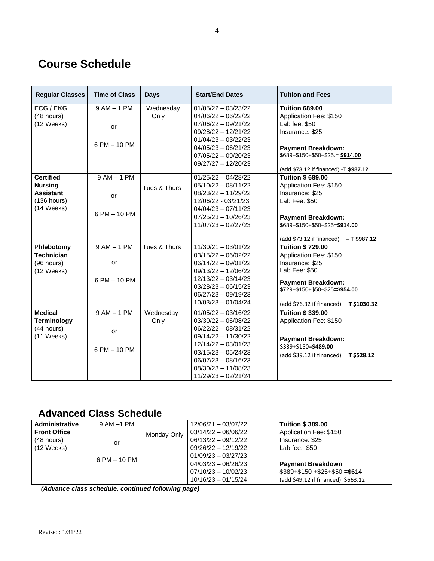# **Course Schedule**

| <b>Regular Classes</b> | <b>Time of Class</b> | <b>Days</b>  | <b>Start/End Dates</b> | <b>Tuition and Fees</b>                     |  |
|------------------------|----------------------|--------------|------------------------|---------------------------------------------|--|
| <b>ECG / EKG</b>       | $9AM - 1PM$          | Wednesday    | $01/05/22 - 03/23/22$  | <b>Tuition 689.00</b>                       |  |
| (48 hours)             |                      | Only         | $04/06/22 - 06/22/22$  | Application Fee: \$150                      |  |
| (12 Weeks)             | <b>or</b>            |              | $07/06/22 - 09/21/22$  | Lab fee: \$50                               |  |
|                        |                      |              | $09/28/22 - 12/21/22$  | Insurance: \$25                             |  |
|                        |                      |              | $01/04/23 - 03/22/23$  |                                             |  |
|                        | 6 PM - 10 PM         |              | $04/05/23 - 06/21/23$  | <b>Payment Breakdown:</b>                   |  |
|                        |                      |              | $07/05/22 - 09/20/23$  | $$689+$150+$50+$25. = $914.00$              |  |
|                        |                      |              | $09/27/27 - 12/20/23$  |                                             |  |
|                        |                      |              |                        | (add \$73.12 if financed) -T \$987.12       |  |
| <b>Certified</b>       | $9AM - 1PM$          |              | $01/25/22 - 04/28/22$  | <b>Tuition \$689.00</b>                     |  |
| <b>Nursing</b>         |                      | Tues & Thurs | $05/10/22 - 08/11/22$  | Application Fee: \$150                      |  |
| <b>Assistant</b>       | or                   |              | $08/23/22 - 11/29/22$  | Insurance: \$25                             |  |
| $(136$ hours)          |                      |              | 12/06/22 - 03/21/23    | Lab Fee: \$50                               |  |
| $(14 \text{ Weeks})$   | 6 PM - 10 PM         |              | $04/04/23 - 07/11/23$  |                                             |  |
|                        |                      |              | $07/25/23 - 10/26/23$  | <b>Payment Breakdown:</b>                   |  |
|                        |                      |              | $11/07/23 - 02/27/23$  | \$689+\$150+\$50+\$25=\$914.00              |  |
|                        |                      |              |                        | (add \$73.12 if financed)<br>$-$ T \$987.12 |  |
| Phlebotomy             | $9AM - 1PM$          | Tues & Thurs | $11/30/21 - 03/01/22$  | <b>Tuition \$729.00</b>                     |  |
| <b>Technician</b>      |                      |              | $03/15/22 - 06/02/22$  | Application Fee: \$150                      |  |
| (96 hours)             | or                   |              | $06/14/22 - 09/01/22$  | Insurance: \$25                             |  |
| (12 Weeks)             |                      |              | $09/13/22 - 12/06/22$  | Lab Fee: \$50                               |  |
|                        | 6 PM - 10 PM         |              | $12/13/22 - 03/14/23$  | <b>Payment Breakdown:</b>                   |  |
|                        |                      |              | $03/28/23 - 06/15/23$  | \$729+\$150+\$50+\$25=\$954.00              |  |
|                        |                      |              | 06/27/23 - 09/19/23    |                                             |  |
|                        |                      |              | $10/03/23 - 01/04/24$  | (add \$76.32 if financed)<br>T \$1030.32    |  |
| <b>Medical</b>         | $9AM - 1PM$          | Wednesday    | $01/05/22 - 03/16/22$  | <b>Tuition \$339.00</b>                     |  |
| <b>Terminology</b>     |                      | Only         | $03/30/22 - 06/08/22$  | Application Fee: \$150                      |  |
| (44 hours)             | or                   |              | $06/22/22 - 08/31/22$  |                                             |  |
| (11 Weeks)             |                      |              | $09/14/22 - 11/30/22$  | <b>Payment Breakdown:</b>                   |  |
|                        |                      |              | $12/14/22 - 03/01/23$  | \$339+\$150=\$489.00                        |  |
|                        | 6 PM - 10 PM         |              | $03/15/23 - 05/24/23$  | (add \$39.12 if financed)<br>T \$528.12     |  |
|                        |                      |              | $06/07/23 - 08/16/23$  |                                             |  |
|                        |                      |              | $08/30/23 - 11/08/23$  |                                             |  |
|                        |                      |              | $11/29/23 - 02/21/24$  |                                             |  |

# **Advanced Class Schedule**

| Administrative       | 9 AM –1 PM   |             | 12/06/21 - 03/07/22   | <b>Tuition \$ 389,00</b>           |
|----------------------|--------------|-------------|-----------------------|------------------------------------|
| <b>Front Office</b>  |              | Monday Only | 03/14/22 - 06/06/22   | Application Fee: \$150             |
| (48 hours)           | or           |             | 06/13/22 - 09/12/22   | Insurance: \$25                    |
| $(12 \text{ Weeks})$ |              |             | $09/26/22 - 12/19/22$ | Lab fee: $$50$                     |
|                      | 6 PM – 10 PM |             | $01/09/23 - 03/27/23$ |                                    |
|                      |              |             | 04/03/23 - 06/26/23   | <b>Payment Breakdown</b>           |
|                      |              |             | $07/10/23 - 10/02/23$ | $$389 + $150 + $25 + $50 = $614$   |
|                      |              |             | $10/16/23 - 01/15/24$ | (add \$49.12 if financed) \$663.12 |

*(Advance class schedule, continued following page)*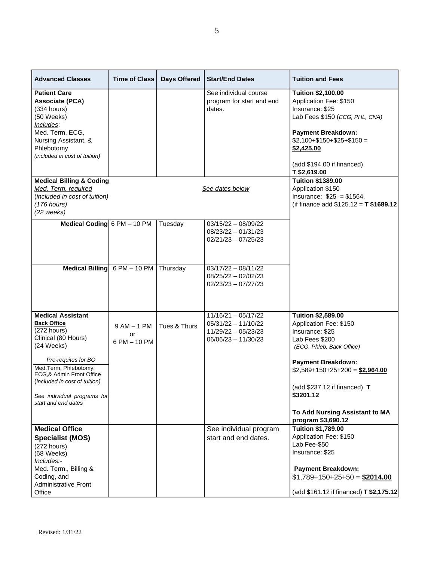| <b>Advanced Classes</b>                                                                                                                                                        | <b>Time of Class</b>              | <b>Days Offered</b> | <b>Start/End Dates</b>                                                                       | <b>Tuition and Fees</b>                                                                                                                                                                         |
|--------------------------------------------------------------------------------------------------------------------------------------------------------------------------------|-----------------------------------|---------------------|----------------------------------------------------------------------------------------------|-------------------------------------------------------------------------------------------------------------------------------------------------------------------------------------------------|
| <b>Patient Care</b><br><b>Associate (PCA)</b><br>$(334$ hours)<br>(50 Weeks)<br>Includes:<br>Med. Term, ECG,                                                                   |                                   |                     | See individual course<br>program for start and end<br>dates.                                 | <b>Tuition \$2,100.00</b><br>Application Fee: \$150<br>Insurance: \$25<br>Lab Fees \$150 (ECG, PHL, CNA)<br><b>Payment Breakdown:</b>                                                           |
| Nursing Assistant, &<br>Phlebotomy<br>(included in cost of tuition)                                                                                                            |                                   |                     |                                                                                              | $$2,100 + $150 + $25 + $150 =$<br>\$2,425.00<br>(add \$194.00 if financed)                                                                                                                      |
| <b>Medical Billing &amp; Coding</b><br>Med. Term. required<br>(included in cost of tuition)<br>$(176$ hours)<br>(22 weeks)                                                     |                                   |                     | See dates below                                                                              | T \$2,619.00<br><b>Tuition \$1389.00</b><br>Application \$150<br>Insurance: $$25 = $1564$ .<br>(if finance add $$125.12 = T $1689.12$ )                                                         |
| Medical Coding 6 PM - 10 PM                                                                                                                                                    |                                   | Tuesday             | 03/15/22 - 08/09/22<br>$08/23/22 - 01/31/23$<br>$02/21/23 - 07/25/23$                        |                                                                                                                                                                                                 |
|                                                                                                                                                                                | Medical Billing $6PM - 10PM$      | Thursday            | $03/17/22 - 08/11/22$<br>08/25/22 - 02/02/23<br>$02/23/23 - 07/27/23$                        |                                                                                                                                                                                                 |
| <b>Medical Assistant</b><br><b>Back Office</b><br>(272 hours)<br>Clinical (80 Hours)<br>(24 Weeks)                                                                             | $9AM - 1PM$<br>or<br>6 PM - 10 PM | Tues & Thurs        | $11/16/21 - 05/17/22$<br>$05/31/22 - 11/10/22$<br>11/29/22 - 05/23/23<br>06/06/23 - 11/30/23 | <b>Tuition \$2,589.00</b><br>Application Fee: \$150<br>Insurance: \$25<br>Lab Fees \$200<br>(ECG, Phleb, Back Office)                                                                           |
| Pre-requites for BO<br>Med.Term, Phlebotomy,<br>ECG,& Admin Front Office<br>(included in cost of tuition)<br>See individual programs for                                       |                                   |                     |                                                                                              | <b>Payment Breakdown:</b><br>$$2,589+150+25+200 = $2,964.00$<br>(add $$237.12$ if financed) T<br>\$3201.12                                                                                      |
| start and end dates                                                                                                                                                            |                                   |                     |                                                                                              | To Add Nursing Assistant to MA<br>program \$3,690.12                                                                                                                                            |
| <b>Medical Office</b><br><b>Specialist (MOS)</b><br>$(272$ hours)<br>(68 Weeks)<br>Includes:-<br>Med. Term., Billing &<br>Coding, and<br><b>Administrative Front</b><br>Office |                                   |                     | See individual program<br>start and end dates.                                               | <b>Tuition \$1,789.00</b><br>Application Fee: \$150<br>Lab Fee-\$50<br>Insurance: \$25<br><b>Payment Breakdown:</b><br>$$1,789+150+25+50 = $2014.00$<br>(add \$161.12 if financed) T \$2,175.12 |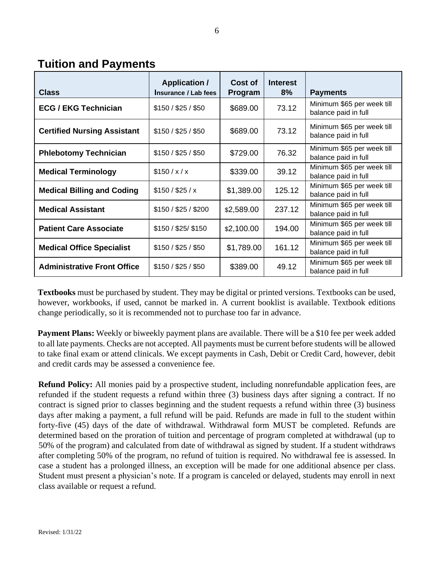**Tuition and Payments** 

| <b>Class</b>                       | <b>Application /</b><br>Insurance / Lab fees | Cost of<br>Program | <b>Interest</b><br>8% | <b>Payments</b>                                    |
|------------------------------------|----------------------------------------------|--------------------|-----------------------|----------------------------------------------------|
| <b>ECG / EKG Technician</b>        | \$150 / \$25 / \$50                          | \$689.00           | 73.12                 | Minimum \$65 per week till<br>balance paid in full |
| <b>Certified Nursing Assistant</b> | \$150 / \$25 / \$50                          | \$689.00           | 73.12                 | Minimum \$65 per week till<br>balance paid in full |
| <b>Phlebotomy Technician</b>       | \$150 / \$25 / \$50                          | \$729.00           | 76.32                 | Minimum \$65 per week till<br>balance paid in full |
| <b>Medical Terminology</b>         | \$150/x/x                                    | \$339.00           | 39.12                 | Minimum \$65 per week till<br>balance paid in full |
| <b>Medical Billing and Coding</b>  | \$150 / \$25 / x                             | \$1,389.00         | 125.12                | Minimum \$65 per week till<br>balance paid in full |
| <b>Medical Assistant</b>           | \$150 / \$25 / \$200                         | \$2,589.00         | 237.12                | Minimum \$65 per week till<br>balance paid in full |
| <b>Patient Care Associate</b>      | \$150 / \$25/ \$150                          | \$2,100.00         | 194.00                | Minimum \$65 per week till<br>balance paid in full |
| <b>Medical Office Specialist</b>   | \$150 / \$25 / \$50                          | \$1,789.00         | 161.12                | Minimum \$65 per week till<br>balance paid in full |
| <b>Administrative Front Office</b> | \$150 / \$25 / \$50                          | \$389.00           | 49.12                 | Minimum \$65 per week till<br>balance paid in full |

**Textbooks** must be purchased by student. They may be digital or printed versions. Textbooks can be used, however, workbooks, if used, cannot be marked in. A current booklist is available. Textbook editions change periodically, so it is recommended not to purchase too far in advance.

**Payment Plans:** Weekly or biweekly payment plans are available. There will be a \$10 fee per week added to all late payments. Checks are not accepted. All payments must be current before students will be allowed to take final exam or attend clinicals. We except payments in Cash, Debit or Credit Card, however, debit and credit cards may be assessed a convenience fee.

**Refund Policy:** All monies paid by a prospective student, including nonrefundable application fees, are refunded if the student requests a refund within three (3) business days after signing a contract. If no contract is signed prior to classes beginning and the student requests a refund within three (3) business days after making a payment, a full refund will be paid. Refunds are made in full to the student within forty-five (45) days of the date of withdrawal. Withdrawal form MUST be completed. Refunds are determined based on the proration of tuition and percentage of program completed at withdrawal (up to 50% of the program) and calculated from date of withdrawal as signed by student. If a student withdraws after completing 50% of the program, no refund of tuition is required. No withdrawal fee is assessed. In case a student has a prolonged illness, an exception will be made for one additional absence per class. Student must present a physician's note. If a program is canceled or delayed, students may enroll in next class available or request a refund.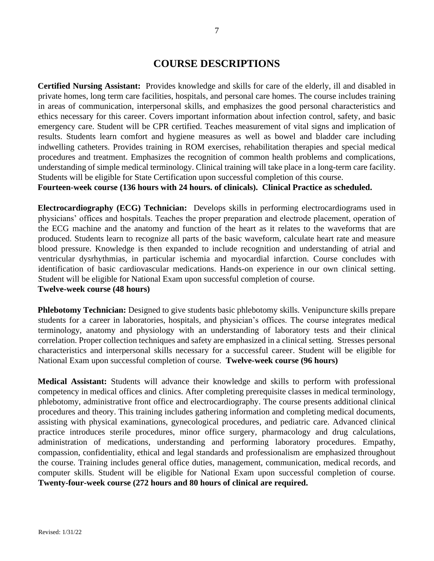### **COURSE DESCRIPTIONS**

**Certified Nursing Assistant:** Provides knowledge and skills for care of the elderly, ill and disabled in private homes, long term care facilities, hospitals, and personal care homes. The course includes training in areas of communication, interpersonal skills, and emphasizes the good personal characteristics and ethics necessary for this career. Covers important information about infection control, safety, and basic emergency care. Student will be CPR certified. Teaches measurement of vital signs and implication of results. Students learn comfort and hygiene measures as well as bowel and bladder care including indwelling catheters. Provides training in ROM exercises, rehabilitation therapies and special medical procedures and treatment. Emphasizes the recognition of common health problems and complications, understanding of simple medical terminology. Clinical training will take place in a long-term care facility. Students will be eligible for State Certification upon successful completion of this course.

**Fourteen-week course (136 hours with 24 hours. of clinicals). Clinical Practice as scheduled.**

**Electrocardiography (ECG) Technician:** Develops skills in performing electrocardiograms used in physicians' offices and hospitals. Teaches the proper preparation and electrode placement, operation of the ECG machine and the anatomy and function of the heart as it relates to the waveforms that are produced. Students learn to recognize all parts of the basic waveform, calculate heart rate and measure blood pressure. Knowledge is then expanded to include recognition and understanding of atrial and ventricular dysrhythmias, in particular ischemia and myocardial infarction. Course concludes with identification of basic cardiovascular medications. Hands-on experience in our own clinical setting. Student will be eligible for National Exam upon successful completion of course.

**Twelve-week course (48 hours)**

**Phlebotomy Technician:** Designed to give students basic phlebotomy skills. Venipuncture skills prepare students for a career in laboratories, hospitals, and physician's offices. The course integrates medical terminology, anatomy and physiology with an understanding of laboratory tests and their clinical correlation. Proper collection techniques and safety are emphasized in a clinical setting. Stresses personal characteristics and interpersonal skills necessary for a successful career. Student will be eligible for National Exam upon successful completion of course. **Twelve-week course (96 hours)**

**Medical Assistant:** Students will advance their knowledge and skills to perform with professional competency in medical offices and clinics. After completing prerequisite classes in medical terminology, phlebotomy, administrative front office and electrocardiography. The course presents additional clinical procedures and theory. This training includes gathering information and completing medical documents, assisting with physical examinations, gynecological procedures, and pediatric care. Advanced clinical practice introduces sterile procedures, minor office surgery, pharmacology and drug calculations, administration of medications, understanding and performing laboratory procedures. Empathy, compassion, confidentiality, ethical and legal standards and professionalism are emphasized throughout the course. Training includes general office duties, management, communication, medical records, and computer skills. Student will be eligible for National Exam upon successful completion of course. **Twenty-four-week course (272 hours and 80 hours of clinical are required.**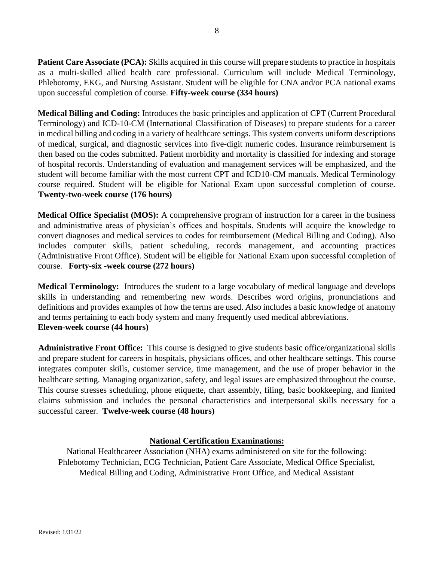**Patient Care Associate (PCA):** Skills acquired in this course will prepare students to practice in hospitals as a multi-skilled allied health care professional. Curriculum will include Medical Terminology, Phlebotomy, EKG, and Nursing Assistant. Student will be eligible for CNA and/or PCA national exams upon successful completion of course. **Fifty-week course (334 hours)**

**Medical Billing and Coding:** Introduces the basic principles and application of CPT (Current Procedural Terminology) and ICD-10-CM (International Classification of Diseases) to prepare students for a career in medical billing and coding in a variety of healthcare settings. This system converts uniform descriptions of medical, surgical, and diagnostic services into five-digit numeric codes. Insurance reimbursement is then based on the codes submitted. Patient morbidity and mortality is classified for indexing and storage of hospital records. Understanding of evaluation and management services will be emphasized, and the student will become familiar with the most current CPT and ICD10-CM manuals. Medical Terminology course required. Student will be eligible for National Exam upon successful completion of course. **Twenty-two-week course (176 hours)**

**Medical Office Specialist (MOS):** A comprehensive program of instruction for a career in the business and administrative areas of physician's offices and hospitals. Students will acquire the knowledge to convert diagnoses and medical services to codes for reimbursement (Medical Billing and Coding). Also includes computer skills, patient scheduling, records management, and accounting practices (Administrative Front Office). Student will be eligible for National Exam upon successful completion of course. **Forty-six -week course (272 hours)**

**Medical Terminology:** Introduces the student to a large vocabulary of medical language and develops skills in understanding and remembering new words. Describes word origins, pronunciations and definitions and provides examples of how the terms are used. Also includes a basic knowledge of anatomy and terms pertaining to each body system and many frequently used medical abbreviations. **Eleven-week course (44 hours)**

**Administrative Front Office:** This course is designed to give students basic office/organizational skills and prepare student for careers in hospitals, physicians offices, and other healthcare settings. This course integrates computer skills, customer service, time management, and the use of proper behavior in the healthcare setting. Managing organization, safety, and legal issues are emphasized throughout the course. This course stresses scheduling, phone etiquette, chart assembly, filing, basic bookkeeping, and limited claims submission and includes the personal characteristics and interpersonal skills necessary for a successful career. **Twelve-week course (48 hours)**

#### **National Certification Examinations:**

National Healthcareer Association (NHA) exams administered on site for the following: Phlebotomy Technician, ECG Technician, Patient Care Associate, Medical Office Specialist, Medical Billing and Coding, Administrative Front Office, and Medical Assistant